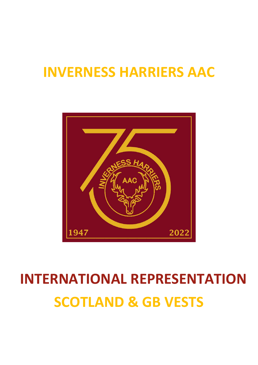# INVERNESS HARRIERS AAC



# SCOTLAND & GB VESTS INTERNATIONAL REPRESENTATION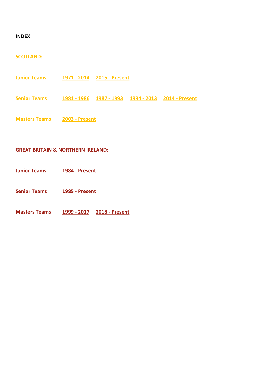#### INDEX

## SCOTLAND:

Junior Teams 1971 - 2014 2015 - Present Senior Teams 1981 - 1986 1987 - 1993 1994 - 2013 2014 - Present Masters Teams 2003 - Present

## GREAT BRITAIN & NORTHERN IRELAND:

Junior Teams 1984 - Present

Senior Teams 1985 - Present

Masters Teams 1999 - 2017 2018 - Present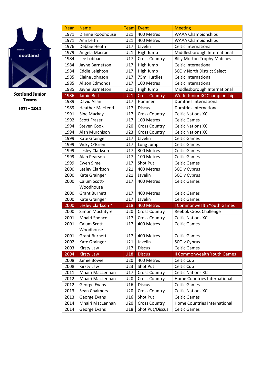

| Year | <b>Name</b>                       | <b>Team</b> | Event                                   | <b>Meeting</b>                       |  |
|------|-----------------------------------|-------------|-----------------------------------------|--------------------------------------|--|
| 1971 | Dianne Roodhouse                  | U21         | 400 Metres<br><b>WAAA Championships</b> |                                      |  |
| 1971 | Ann Leith                         | U21         | 400 Metres                              | <b>WAAA Championships</b>            |  |
| 1976 | Debbie Heath                      | U17         | Javelin                                 | <b>Celtic International</b>          |  |
| 1979 | Angela Macrae                     | U21         | High Jump                               | Middlesborough International         |  |
| 1984 | Lee Lobban                        | U17         | <b>Cross Country</b>                    | <b>Billy Morton Trophy Matches</b>   |  |
| 1984 | Jayne Barnetson                   | U17         | High Jump                               | Celtic International                 |  |
| 1984 | <b>Eddie Leighton</b>             | U17         | High Jump                               | SCO v North District Select          |  |
| 1985 | Elaine Johnson                    | U17         | 75m Hurdles                             | Celtic International                 |  |
| 1985 | Alison Edmonds                    | U17         | 100 Metres                              | Celtic International                 |  |
| 1985 | Jayne Barnetson                   | U21         | High Jump                               | Middlesborough International         |  |
| 1986 | <b>Jamie Bell</b>                 | <b>U21</b>  | <b>Cross Country</b>                    | <b>World Junior XC Championships</b> |  |
| 1989 | David Allan                       | U17         | Hammer                                  | <b>Dumfries International</b>        |  |
| 1989 | <b>Heather MacLeod</b>            | U17         | <b>Discus</b>                           | Dumfries International               |  |
| 1991 | Sine Mackay                       | U17         | <b>Cross Country</b>                    | <b>Celtic Nations XC</b>             |  |
| 1992 | <b>Scott Fraser</b>               | U17         | 100 Metres                              | <b>Celtic Games</b>                  |  |
| 1994 | <b>Steven Cook</b>                | U20         | <b>Cross Country</b>                    | <b>Celtic Nations XC</b>             |  |
| 1994 | Alan Murchison                    | U23         | <b>Cross Country</b>                    | <b>Celtic Nations XC</b>             |  |
| 1999 | Kate Grainger                     | U17         | Javelin                                 | <b>Celtic Games</b>                  |  |
| 1999 | Vicky O'Brien                     | U17         | Long Jump                               | <b>Celtic Games</b>                  |  |
| 1999 | Lesley Clarkson                   | U17         | 300 Metres                              | <b>Celtic Games</b>                  |  |
| 1999 | Alan Pearson                      | U17         | 100 Metres                              | <b>Celtic Games</b>                  |  |
| 1999 | <b>Ewen Sime</b>                  | U17         | Shot Put                                | <b>Celtic Games</b>                  |  |
| 2000 | Lesley Clarkson                   | U21         | 400 Metres                              | SCO v Cyprus                         |  |
| 2000 | Kate Grainger                     | U21         | Javelin                                 | SCO v Cyprus                         |  |
| 2000 | Calum Scott-                      | U17         | <b>Celtic Games</b><br>400 Metres       |                                      |  |
|      | Woodhouse                         |             |                                         |                                      |  |
| 2000 | <b>Grant Burnett</b>              | U17         | 400 Metres                              | <b>Celtic Games</b>                  |  |
| 2000 | <b>Kate Grainger</b>              | U17         | Javelin                                 | <b>Celtic Games</b>                  |  |
| 2000 | Lesley Clarkson *                 | U18         | 400 Metres                              | I Commonwealth Youth Games           |  |
| 2000 | Simon MacIntyre                   | U20         | <b>Cross Country</b>                    | <b>Reebok Cross Challenge</b>        |  |
| 2001 | <b>Mhairi Spence</b>              | U17         | <b>Cross Country</b>                    | <b>Celtic Nations XC</b>             |  |
| 2001 | Calum Scott-                      | U17         | 400 Metres                              | <b>Celtic Games</b>                  |  |
| 2001 | Woodhouse<br><b>Grant Burnett</b> | U17         | 400 Metres                              | <b>Celtic Games</b>                  |  |
| 2002 | Kate Grainger                     | U21         | Javelin                                 | SCO v Cyprus                         |  |
| 2003 | <b>Kirsty Law</b>                 | U17         | <b>Discus</b>                           | <b>Celtic Games</b>                  |  |
| 2004 | <b>Kirsty Law</b>                 | U18         | <b>Discus</b>                           | <b>II Commonwealth Youth Games</b>   |  |
| 2008 | Jamie Bowie                       | U20         | 400 Metres                              | Celtic Cup                           |  |
| 2008 | <b>Kirsty Law</b>                 | U23         | Shot Put                                | Celtic Cup                           |  |
| 2011 | Mhairi MacLennan                  | U17         | <b>Cross Country</b>                    | <b>Celtic Nations XC</b>             |  |
| 2012 | Mhairi MacLennan                  | U20         | <b>Cross Country</b>                    | Home Countries International         |  |
| 2012 | George Evans                      | U16         | <b>Discus</b>                           | <b>Celtic Games</b>                  |  |
| 2013 | Sean Chalmers                     | U20         | <b>Cross Country</b>                    | <b>Celtic Nations XC</b>             |  |
| 2013 | George Evans                      | U16         | Shot Put                                | <b>Celtic Games</b>                  |  |
| 2014 | Mhairi MacLennan                  | U20         | <b>Cross Country</b>                    | Home Countries International         |  |
| 2014 | George Evans                      | U18         | Shot Put/Discus                         | <b>Celtic Games</b>                  |  |
|      |                                   |             |                                         |                                      |  |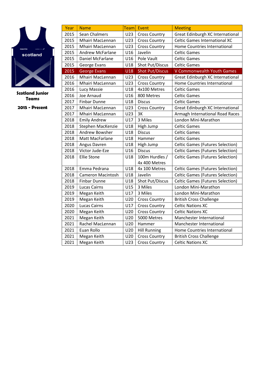

| Year | <b>Name</b>              |     | Team Event             | <b>Meeting</b>                          |
|------|--------------------------|-----|------------------------|-----------------------------------------|
| 2015 | Sean Chalmers            | U23 | <b>Cross Country</b>   | Great Edinburgh XC International        |
| 2015 | Mhairi MacLennan         | U23 | <b>Cross Country</b>   | <b>Celtic Games International XC</b>    |
| 2015 | Mhairi MacLennan         | U23 | <b>Cross Country</b>   | Home Countries International            |
| 2015 | <b>Andrew McFarlane</b>  | U16 | Javelin                | <b>Celtic Games</b>                     |
| 2015 | Daniel McFarlane         | U16 | Pole Vault             | <b>Celtic Games</b>                     |
| 2015 | George Evans             | U18 | Shot Put/Discus        | <b>Celtic Games</b>                     |
| 2015 | <b>George Evans</b>      | U18 | <b>Shot Put/Discus</b> | V Commonwealth Youth Games              |
| 2016 | Mhairi MacLennan         | U23 | <b>Cross Country</b>   | Great Edinburgh XC International        |
| 2016 | Mhairi MacLennan         | U23 | <b>Cross Country</b>   | Home Countries International            |
| 2016 | Lucy Massie              | U18 | 4x100 Metres           | <b>Celtic Games</b>                     |
| 2016 | Joe Arnaud               | U16 | 800 Metres             | <b>Celtic Games</b>                     |
| 2017 | <b>Finbar Dunne</b>      | U18 | <b>Discus</b>          | <b>Celtic Games</b>                     |
| 2017 | Mhairi MacLennan         | U23 | <b>Cross Country</b>   | Great Edinburgh XC International        |
| 2017 | Mhairi MacLennan         | U23 | 3K                     | Armagh International Road Races         |
| 2018 | <b>Emily Andrew</b>      | U17 | 3 Miles                | London Mini-Marathon                    |
| 2018 | Stephen MacKenzie        | U18 | High Jump              | <b>Celtic Games</b>                     |
| 2018 | Andrew Bowsher           | U18 | <b>Discus</b>          | <b>Celtic Games</b>                     |
| 2018 | Matt MacFarlane          | U18 | Hammer                 | <b>Celtic Games</b>                     |
| 2018 | Angus Davren             | U18 | High Jump              | <b>Celtic Games (Futures Selection)</b> |
| 2018 | Victor Jude-Eze          | U16 | <b>Discus</b>          | <b>Celtic Games (Futures Selection)</b> |
| 2018 | <b>Ellie Stone</b>       | U18 | 100m Hurdles /         | <b>Celtic Games (Futures Selection)</b> |
|      |                          |     | 4x 400 Metres          |                                         |
| 2018 | Emma Pedrana             | U18 | 4x 100 Metres          | <b>Celtic Games (Futures Selection)</b> |
| 2018 | <b>Cameron Macintosh</b> | U18 | Javelin                | <b>Celtic Games (Futures Selection)</b> |
| 2018 | <b>Finbar Dunne</b>      | U18 | Shot Put/Discus        | <b>Celtic Games (Futures Selection)</b> |
| 2019 | <b>Lucas Cairns</b>      | U15 | 3 Miles                | London Mini-Marathon                    |
| 2019 | Megan Keith              | U17 | 3 Miles                | London Mini-Marathon                    |
| 2019 | Megan Keith              | U20 | <b>Cross Country</b>   | <b>British Cross Challenge</b>          |
| 2020 | <b>Lucas Cairns</b>      | U17 | <b>Cross Country</b>   | <b>Celtic Nations XC</b>                |
| 2020 | Megan Keith              | U20 | <b>Cross Country</b>   | <b>Celtic Nations XC</b>                |
| 2021 | Megan Keith              | U20 | 5000 Metres            | Manchester International                |
| 2021 | Rachel MacLennan         | U20 | Hammer                 | Manchester International                |
| 2021 | Euan Rollo               | U20 | <b>Hill Running</b>    | Home Countries International            |
| 2021 | Megan Keith              | U20 | <b>Cross Country</b>   | <b>British Cross Challenge</b>          |
| 2021 | Megan Keith              | U23 | <b>Cross Country</b>   | <b>Celtic Nations XC</b>                |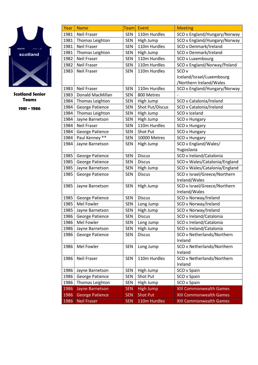

| Year | <b>Name</b>            | <b>Team</b> | Event                                        | <b>Meeting</b>                 |
|------|------------------------|-------------|----------------------------------------------|--------------------------------|
| 1981 | <b>Neil Fraser</b>     | <b>SEN</b>  | 110m Hurdles<br>SCO v England/Hungary/Norway |                                |
| 1981 | Thomas Leighton        | SEN         | SCO v England/Hungary/Norway<br>High Jump    |                                |
| 1981 | <b>Neil Fraser</b>     | <b>SEN</b>  | 110m Hurdles                                 | SCO v Denmark/Ireland          |
| 1981 | Thomas Leighton        | <b>SEN</b>  | High Jump                                    | SCO v Denmark/Ireland          |
| 1982 | <b>Neil Fraser</b>     | <b>SEN</b>  | 110m Hurdles                                 | SCO v Luxembourg               |
| 1982 | Neil Fraser            | <b>SEN</b>  | 110m Hurdles                                 | SCO v England/Norway/Poland    |
| 1983 | <b>Neil Fraser</b>     | <b>SEN</b>  | 110m Hurdles                                 | SCO <sub>v</sub>               |
|      |                        |             |                                              | Iceland/Israel/Luxembourg      |
|      |                        |             |                                              | /Northern Ireland/Wales        |
| 1983 | <b>Neil Fraser</b>     | <b>SEN</b>  | 110m Hurdles                                 | SCO v England/Hungary/Norway   |
| 1983 | Donald MacMillan       | <b>SEN</b>  | 800 Metres                                   |                                |
| 1984 | Thomas Leighton        | <b>SEN</b>  | High Jump                                    | SCO v Catalonia/Ireland        |
| 1984 | George Patience        | <b>SEN</b>  | Shot Put/Discus                              | SCO v Catalonia/Ireland        |
| 1984 | Thomas Leighton        | <b>SEN</b>  | High Jump                                    | SCO v Iceland                  |
| 1984 | Jayne Barnetson        | <b>SEN</b>  | High Jump                                    | SCO v Hungary                  |
| 1984 | <b>Neil Fraser</b>     | <b>SEN</b>  | 110m Hurdles                                 | SCO v Hungary                  |
| 1984 | George Patience        | <b>SEN</b>  | Shot Put                                     | SCO v Hungary                  |
| 1984 | Paul Kenney **         | <b>SEN</b>  | 10000 Metres                                 | SCO v Hungary                  |
| 1984 | Jayne Barnetson        | <b>SEN</b>  | High Jump                                    | SCO v England/Wales/           |
|      |                        |             |                                              | Yugoslavia                     |
| 1985 | George Patience        | <b>SEN</b>  | <b>Discus</b>                                | SCO v Ireland/Catalonia        |
| 1985 | George Patience        | <b>SEN</b>  | <b>Discus</b>                                | SCO v Wales/Catalonia/England  |
| 1985 | Jayne Barnetson        | <b>SEN</b>  | High Jump                                    | SCO v Wales/Catalonia/England  |
| 1985 | George Patience        | <b>SEN</b>  | <b>Discus</b>                                | SCO v Israel/Greece/Northern   |
|      |                        |             |                                              | Ireland/Wales                  |
| 1985 | Jayne Barnetson        | <b>SEN</b>  | High Jump                                    | SCO v Israel/Greece/Northern   |
|      |                        |             |                                              | Ireland/Wales                  |
| 1985 | George Patience        | <b>SEN</b>  | <b>Discus</b>                                | SCO v Norway/Ireland           |
| 1985 | Mel Fowler             | <b>SEN</b>  | Long Jump                                    | SCO v Norway/Ireland           |
| 1985 | Jayne Barnetson        | <b>SEN</b>  | High Jump                                    | SCO v Norway/Ireland           |
| 1986 | George Patience        | <b>SEN</b>  | <b>Discus</b>                                | SCO v Ireland/Catalonia        |
| 1986 | Mel Fowler             | <b>SEN</b>  | Long Jump                                    | SCO v Ireland/Catalonia        |
| 1986 | Jayne Barnetson        | <b>SEN</b>  | High Jump                                    | SCO v Ireland/Catalonia        |
| 1986 | George Patience        | <b>SEN</b>  | <b>Discus</b>                                | SCO v Netherlands/Northern     |
|      |                        |             |                                              | Ireland                        |
| 1986 | Mel Fowler             | <b>SEN</b>  | Long Jump                                    | SCO v Netherlands/Northern     |
|      |                        |             |                                              | Ireland                        |
| 1986 | <b>Neil Fraser</b>     | <b>SEN</b>  | 110m Hurdles                                 | SCO v Netherlands/Northern     |
|      |                        |             |                                              | Ireland                        |
| 1986 | Jayne Barnetson        | SEN         | High Jump                                    | SCO v Spain                    |
| 1986 | <b>George Patience</b> | <b>SEN</b>  | Shot Put                                     | SCO v Spain                    |
| 1986 | Thomas Leighton        | <b>SEN</b>  | High Jump                                    | SCO v Spain                    |
| 1986 | Jayne Barnetson        | <b>SEN</b>  | <b>High Jump</b>                             | <b>XIII Commonwealth Games</b> |
| 1986 | <b>George Patience</b> | <b>SEN</b>  | <b>Shot Put</b>                              | XIII Commonwealth Games        |
| 1986 | <b>Neil Fraser</b>     | <b>SEN</b>  | 110m Hurdles                                 | XIII Commonwealth Games        |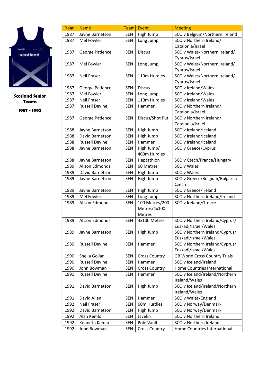

| 1987<br>SCO v Belgium/Northern Ireland<br>Jayne Barnetson<br><b>SEN</b><br>High Jump<br>Mel Fowler<br>1987<br>Long Jump<br>SCO v Northern Ireland/<br><b>SEN</b><br>Catalonia/Israel<br>SCO v Wales/Northern Ireland/<br><b>Discus</b><br>1987<br>George Patience<br><b>SEN</b><br>Cyprus/Israel<br>SCO v Wales/Northern Ireland/<br>1987<br>Mel Fowler<br><b>SEN</b><br>Long Jump<br>Cyprus/Israel<br>SCO v Wales/Northern Ireland/<br><b>Neil Fraser</b><br>110m Hurdles<br>1987<br><b>SEN</b><br>Cyprus/Israel<br>1987<br><b>SEN</b><br><b>Discus</b><br>George Patience<br>SCO v Ireland/Wales<br>Mel Fowler<br>1987<br><b>SEN</b><br>SCO v Ireland/Wales<br>Long Jump<br>110m Hurdles<br>1987<br><b>Neil Fraser</b><br><b>SEN</b><br>SCO v Ireland/Wales<br>1987<br><b>Russell Devine</b><br>SCO v Northern Ireland/<br><b>SEN</b><br>Hammer<br>Catalonia/Israel<br>Discus/Shot Put<br>SCO v Northern Ireland/<br>1987<br>George Patience<br><b>SEN</b><br>Catalonia/Israel<br>1988<br>SEN<br>High Jump<br>SCO v Ireland/Iceland<br>Jayne Barnetson<br>1988<br>David Barnetson<br>High Jump<br>SCO v Ireland/Iceland<br><b>SEN</b><br>1988<br>SCO v Ireland/Iceland<br><b>Russell Devine</b><br><b>SEN</b><br>Hammer<br>High Jump/<br>SCO v Greece/Cyprus<br>1988<br>Jayne Barnetson<br><b>SEN</b><br>400m Hurdles<br><b>SEN</b><br>1988<br>Heptathlon<br>SCO v Czech/France/Hungary<br>Jayne Barnetson<br>Alison Edmonds<br>SCO v Wales<br>1989<br><b>SEN</b><br>60 Metres<br>1989<br>David Barnetson<br><b>SEN</b><br>High Jump<br>SCO v Wales<br>SCO v Greece/Belgium/Bulgaria/<br>1989<br>High Jump<br>Jayne Barnetson<br><b>SEN</b><br>Czech<br>SCO v Greece/Ireland<br>1989<br>Jayne Barnetson<br>SEN<br>High Jump<br>Mel Fowler<br>SCO v Northern Ireland/Ireland<br>1989<br><b>SEN</b><br>Long Jump<br>100 Metres/200<br>1989<br><b>Alison Edmonds</b><br>SCO v Ireland/Greece<br><b>SEN</b><br>Metres/4x100<br>Metres<br>Alison Edmonds<br>1989<br><b>SEN</b><br>4x100 Metres<br>SCO v Northern Ireland/Cyprus/<br>Euskadi/Israel/Wales<br>SCO v Northern Ireland/Cyprus/<br>1989<br>Jayne Barnetson<br><b>SEN</b><br>High Jump<br>Euskadi/Israel/Wales<br>1989<br><b>Russell Devine</b><br><b>SEN</b><br>Hammer<br>SCO v Northern Ireland/Cyprus/<br>Euskadi/Israel/Wales<br>Sheila Gollan<br><b>GB World Cross Country Trials</b><br>1990<br><b>SEN</b><br><b>Cross Country</b><br><b>Russell Devine</b><br>SCO v Iceland/Ireland<br>1990<br><b>SEN</b><br>Hammer<br>Home Countries International<br>1990<br>John Bowman<br><b>Cross Country</b><br><b>SEN</b><br><b>Russell Devine</b><br>SCO v Iceland/Ireland/Northern<br>1991<br><b>SEN</b><br>Hammer<br>Ireland/Wales<br>SCO v Iceland/Ireland/Northern<br>1991<br>David Barnetson<br>High Jump<br><b>SEN</b><br>Ireland/Wales<br>David Allan<br>SCO v Wales/England<br>1991<br><b>SEN</b><br>Hammer<br>1992<br>Neil Fraser<br><b>SEN</b><br>60m Hurdles<br>SCO v Norway/Denmark<br>1992<br>David Barnetson<br>SCO v Norway/Denmark<br><b>SEN</b><br>High Jump<br>1992<br>Alan Kemlo<br>Javelin<br>SCO v Northern Ireland<br><b>SEN</b><br>Kenneth Kemlo<br>Pole Vault<br>SCO v Northern Ireland<br>1992<br><b>SEN</b><br>1992<br>John Bowman<br><b>SEN</b> | Year | <b>Name</b> | Team | Event                | <b>Meeting</b>               |
|----------------------------------------------------------------------------------------------------------------------------------------------------------------------------------------------------------------------------------------------------------------------------------------------------------------------------------------------------------------------------------------------------------------------------------------------------------------------------------------------------------------------------------------------------------------------------------------------------------------------------------------------------------------------------------------------------------------------------------------------------------------------------------------------------------------------------------------------------------------------------------------------------------------------------------------------------------------------------------------------------------------------------------------------------------------------------------------------------------------------------------------------------------------------------------------------------------------------------------------------------------------------------------------------------------------------------------------------------------------------------------------------------------------------------------------------------------------------------------------------------------------------------------------------------------------------------------------------------------------------------------------------------------------------------------------------------------------------------------------------------------------------------------------------------------------------------------------------------------------------------------------------------------------------------------------------------------------------------------------------------------------------------------------------------------------------------------------------------------------------------------------------------------------------------------------------------------------------------------------------------------------------------------------------------------------------------------------------------------------------------------------------------------------------------------------------------------------------------------------------------------------------------------------------------------------------------------------------------------------------------------------------------------------------------------------------------------------------------------------------------------------------------------------------------------------------------------------------------------------------------------------------------------------------------------------------------------------------------------------------------------------------------------------------------------------------------------------------------------------------------------------------------------------------------------------------------------------------------------|------|-------------|------|----------------------|------------------------------|
|                                                                                                                                                                                                                                                                                                                                                                                                                                                                                                                                                                                                                                                                                                                                                                                                                                                                                                                                                                                                                                                                                                                                                                                                                                                                                                                                                                                                                                                                                                                                                                                                                                                                                                                                                                                                                                                                                                                                                                                                                                                                                                                                                                                                                                                                                                                                                                                                                                                                                                                                                                                                                                                                                                                                                                                                                                                                                                                                                                                                                                                                                                                                                                                                                                  |      |             |      |                      |                              |
|                                                                                                                                                                                                                                                                                                                                                                                                                                                                                                                                                                                                                                                                                                                                                                                                                                                                                                                                                                                                                                                                                                                                                                                                                                                                                                                                                                                                                                                                                                                                                                                                                                                                                                                                                                                                                                                                                                                                                                                                                                                                                                                                                                                                                                                                                                                                                                                                                                                                                                                                                                                                                                                                                                                                                                                                                                                                                                                                                                                                                                                                                                                                                                                                                                  |      |             |      |                      |                              |
|                                                                                                                                                                                                                                                                                                                                                                                                                                                                                                                                                                                                                                                                                                                                                                                                                                                                                                                                                                                                                                                                                                                                                                                                                                                                                                                                                                                                                                                                                                                                                                                                                                                                                                                                                                                                                                                                                                                                                                                                                                                                                                                                                                                                                                                                                                                                                                                                                                                                                                                                                                                                                                                                                                                                                                                                                                                                                                                                                                                                                                                                                                                                                                                                                                  |      |             |      |                      |                              |
|                                                                                                                                                                                                                                                                                                                                                                                                                                                                                                                                                                                                                                                                                                                                                                                                                                                                                                                                                                                                                                                                                                                                                                                                                                                                                                                                                                                                                                                                                                                                                                                                                                                                                                                                                                                                                                                                                                                                                                                                                                                                                                                                                                                                                                                                                                                                                                                                                                                                                                                                                                                                                                                                                                                                                                                                                                                                                                                                                                                                                                                                                                                                                                                                                                  |      |             |      |                      |                              |
|                                                                                                                                                                                                                                                                                                                                                                                                                                                                                                                                                                                                                                                                                                                                                                                                                                                                                                                                                                                                                                                                                                                                                                                                                                                                                                                                                                                                                                                                                                                                                                                                                                                                                                                                                                                                                                                                                                                                                                                                                                                                                                                                                                                                                                                                                                                                                                                                                                                                                                                                                                                                                                                                                                                                                                                                                                                                                                                                                                                                                                                                                                                                                                                                                                  |      |             |      |                      |                              |
|                                                                                                                                                                                                                                                                                                                                                                                                                                                                                                                                                                                                                                                                                                                                                                                                                                                                                                                                                                                                                                                                                                                                                                                                                                                                                                                                                                                                                                                                                                                                                                                                                                                                                                                                                                                                                                                                                                                                                                                                                                                                                                                                                                                                                                                                                                                                                                                                                                                                                                                                                                                                                                                                                                                                                                                                                                                                                                                                                                                                                                                                                                                                                                                                                                  |      |             |      |                      |                              |
|                                                                                                                                                                                                                                                                                                                                                                                                                                                                                                                                                                                                                                                                                                                                                                                                                                                                                                                                                                                                                                                                                                                                                                                                                                                                                                                                                                                                                                                                                                                                                                                                                                                                                                                                                                                                                                                                                                                                                                                                                                                                                                                                                                                                                                                                                                                                                                                                                                                                                                                                                                                                                                                                                                                                                                                                                                                                                                                                                                                                                                                                                                                                                                                                                                  |      |             |      |                      |                              |
|                                                                                                                                                                                                                                                                                                                                                                                                                                                                                                                                                                                                                                                                                                                                                                                                                                                                                                                                                                                                                                                                                                                                                                                                                                                                                                                                                                                                                                                                                                                                                                                                                                                                                                                                                                                                                                                                                                                                                                                                                                                                                                                                                                                                                                                                                                                                                                                                                                                                                                                                                                                                                                                                                                                                                                                                                                                                                                                                                                                                                                                                                                                                                                                                                                  |      |             |      |                      |                              |
|                                                                                                                                                                                                                                                                                                                                                                                                                                                                                                                                                                                                                                                                                                                                                                                                                                                                                                                                                                                                                                                                                                                                                                                                                                                                                                                                                                                                                                                                                                                                                                                                                                                                                                                                                                                                                                                                                                                                                                                                                                                                                                                                                                                                                                                                                                                                                                                                                                                                                                                                                                                                                                                                                                                                                                                                                                                                                                                                                                                                                                                                                                                                                                                                                                  |      |             |      |                      |                              |
|                                                                                                                                                                                                                                                                                                                                                                                                                                                                                                                                                                                                                                                                                                                                                                                                                                                                                                                                                                                                                                                                                                                                                                                                                                                                                                                                                                                                                                                                                                                                                                                                                                                                                                                                                                                                                                                                                                                                                                                                                                                                                                                                                                                                                                                                                                                                                                                                                                                                                                                                                                                                                                                                                                                                                                                                                                                                                                                                                                                                                                                                                                                                                                                                                                  |      |             |      |                      |                              |
|                                                                                                                                                                                                                                                                                                                                                                                                                                                                                                                                                                                                                                                                                                                                                                                                                                                                                                                                                                                                                                                                                                                                                                                                                                                                                                                                                                                                                                                                                                                                                                                                                                                                                                                                                                                                                                                                                                                                                                                                                                                                                                                                                                                                                                                                                                                                                                                                                                                                                                                                                                                                                                                                                                                                                                                                                                                                                                                                                                                                                                                                                                                                                                                                                                  |      |             |      |                      |                              |
|                                                                                                                                                                                                                                                                                                                                                                                                                                                                                                                                                                                                                                                                                                                                                                                                                                                                                                                                                                                                                                                                                                                                                                                                                                                                                                                                                                                                                                                                                                                                                                                                                                                                                                                                                                                                                                                                                                                                                                                                                                                                                                                                                                                                                                                                                                                                                                                                                                                                                                                                                                                                                                                                                                                                                                                                                                                                                                                                                                                                                                                                                                                                                                                                                                  |      |             |      |                      |                              |
|                                                                                                                                                                                                                                                                                                                                                                                                                                                                                                                                                                                                                                                                                                                                                                                                                                                                                                                                                                                                                                                                                                                                                                                                                                                                                                                                                                                                                                                                                                                                                                                                                                                                                                                                                                                                                                                                                                                                                                                                                                                                                                                                                                                                                                                                                                                                                                                                                                                                                                                                                                                                                                                                                                                                                                                                                                                                                                                                                                                                                                                                                                                                                                                                                                  |      |             |      |                      |                              |
|                                                                                                                                                                                                                                                                                                                                                                                                                                                                                                                                                                                                                                                                                                                                                                                                                                                                                                                                                                                                                                                                                                                                                                                                                                                                                                                                                                                                                                                                                                                                                                                                                                                                                                                                                                                                                                                                                                                                                                                                                                                                                                                                                                                                                                                                                                                                                                                                                                                                                                                                                                                                                                                                                                                                                                                                                                                                                                                                                                                                                                                                                                                                                                                                                                  |      |             |      |                      |                              |
|                                                                                                                                                                                                                                                                                                                                                                                                                                                                                                                                                                                                                                                                                                                                                                                                                                                                                                                                                                                                                                                                                                                                                                                                                                                                                                                                                                                                                                                                                                                                                                                                                                                                                                                                                                                                                                                                                                                                                                                                                                                                                                                                                                                                                                                                                                                                                                                                                                                                                                                                                                                                                                                                                                                                                                                                                                                                                                                                                                                                                                                                                                                                                                                                                                  |      |             |      |                      |                              |
|                                                                                                                                                                                                                                                                                                                                                                                                                                                                                                                                                                                                                                                                                                                                                                                                                                                                                                                                                                                                                                                                                                                                                                                                                                                                                                                                                                                                                                                                                                                                                                                                                                                                                                                                                                                                                                                                                                                                                                                                                                                                                                                                                                                                                                                                                                                                                                                                                                                                                                                                                                                                                                                                                                                                                                                                                                                                                                                                                                                                                                                                                                                                                                                                                                  |      |             |      |                      |                              |
|                                                                                                                                                                                                                                                                                                                                                                                                                                                                                                                                                                                                                                                                                                                                                                                                                                                                                                                                                                                                                                                                                                                                                                                                                                                                                                                                                                                                                                                                                                                                                                                                                                                                                                                                                                                                                                                                                                                                                                                                                                                                                                                                                                                                                                                                                                                                                                                                                                                                                                                                                                                                                                                                                                                                                                                                                                                                                                                                                                                                                                                                                                                                                                                                                                  |      |             |      |                      |                              |
|                                                                                                                                                                                                                                                                                                                                                                                                                                                                                                                                                                                                                                                                                                                                                                                                                                                                                                                                                                                                                                                                                                                                                                                                                                                                                                                                                                                                                                                                                                                                                                                                                                                                                                                                                                                                                                                                                                                                                                                                                                                                                                                                                                                                                                                                                                                                                                                                                                                                                                                                                                                                                                                                                                                                                                                                                                                                                                                                                                                                                                                                                                                                                                                                                                  |      |             |      |                      |                              |
|                                                                                                                                                                                                                                                                                                                                                                                                                                                                                                                                                                                                                                                                                                                                                                                                                                                                                                                                                                                                                                                                                                                                                                                                                                                                                                                                                                                                                                                                                                                                                                                                                                                                                                                                                                                                                                                                                                                                                                                                                                                                                                                                                                                                                                                                                                                                                                                                                                                                                                                                                                                                                                                                                                                                                                                                                                                                                                                                                                                                                                                                                                                                                                                                                                  |      |             |      |                      |                              |
|                                                                                                                                                                                                                                                                                                                                                                                                                                                                                                                                                                                                                                                                                                                                                                                                                                                                                                                                                                                                                                                                                                                                                                                                                                                                                                                                                                                                                                                                                                                                                                                                                                                                                                                                                                                                                                                                                                                                                                                                                                                                                                                                                                                                                                                                                                                                                                                                                                                                                                                                                                                                                                                                                                                                                                                                                                                                                                                                                                                                                                                                                                                                                                                                                                  |      |             |      |                      |                              |
|                                                                                                                                                                                                                                                                                                                                                                                                                                                                                                                                                                                                                                                                                                                                                                                                                                                                                                                                                                                                                                                                                                                                                                                                                                                                                                                                                                                                                                                                                                                                                                                                                                                                                                                                                                                                                                                                                                                                                                                                                                                                                                                                                                                                                                                                                                                                                                                                                                                                                                                                                                                                                                                                                                                                                                                                                                                                                                                                                                                                                                                                                                                                                                                                                                  |      |             |      |                      |                              |
|                                                                                                                                                                                                                                                                                                                                                                                                                                                                                                                                                                                                                                                                                                                                                                                                                                                                                                                                                                                                                                                                                                                                                                                                                                                                                                                                                                                                                                                                                                                                                                                                                                                                                                                                                                                                                                                                                                                                                                                                                                                                                                                                                                                                                                                                                                                                                                                                                                                                                                                                                                                                                                                                                                                                                                                                                                                                                                                                                                                                                                                                                                                                                                                                                                  |      |             |      |                      |                              |
|                                                                                                                                                                                                                                                                                                                                                                                                                                                                                                                                                                                                                                                                                                                                                                                                                                                                                                                                                                                                                                                                                                                                                                                                                                                                                                                                                                                                                                                                                                                                                                                                                                                                                                                                                                                                                                                                                                                                                                                                                                                                                                                                                                                                                                                                                                                                                                                                                                                                                                                                                                                                                                                                                                                                                                                                                                                                                                                                                                                                                                                                                                                                                                                                                                  |      |             |      |                      |                              |
|                                                                                                                                                                                                                                                                                                                                                                                                                                                                                                                                                                                                                                                                                                                                                                                                                                                                                                                                                                                                                                                                                                                                                                                                                                                                                                                                                                                                                                                                                                                                                                                                                                                                                                                                                                                                                                                                                                                                                                                                                                                                                                                                                                                                                                                                                                                                                                                                                                                                                                                                                                                                                                                                                                                                                                                                                                                                                                                                                                                                                                                                                                                                                                                                                                  |      |             |      |                      |                              |
|                                                                                                                                                                                                                                                                                                                                                                                                                                                                                                                                                                                                                                                                                                                                                                                                                                                                                                                                                                                                                                                                                                                                                                                                                                                                                                                                                                                                                                                                                                                                                                                                                                                                                                                                                                                                                                                                                                                                                                                                                                                                                                                                                                                                                                                                                                                                                                                                                                                                                                                                                                                                                                                                                                                                                                                                                                                                                                                                                                                                                                                                                                                                                                                                                                  |      |             |      |                      |                              |
|                                                                                                                                                                                                                                                                                                                                                                                                                                                                                                                                                                                                                                                                                                                                                                                                                                                                                                                                                                                                                                                                                                                                                                                                                                                                                                                                                                                                                                                                                                                                                                                                                                                                                                                                                                                                                                                                                                                                                                                                                                                                                                                                                                                                                                                                                                                                                                                                                                                                                                                                                                                                                                                                                                                                                                                                                                                                                                                                                                                                                                                                                                                                                                                                                                  |      |             |      |                      |                              |
|                                                                                                                                                                                                                                                                                                                                                                                                                                                                                                                                                                                                                                                                                                                                                                                                                                                                                                                                                                                                                                                                                                                                                                                                                                                                                                                                                                                                                                                                                                                                                                                                                                                                                                                                                                                                                                                                                                                                                                                                                                                                                                                                                                                                                                                                                                                                                                                                                                                                                                                                                                                                                                                                                                                                                                                                                                                                                                                                                                                                                                                                                                                                                                                                                                  |      |             |      |                      |                              |
|                                                                                                                                                                                                                                                                                                                                                                                                                                                                                                                                                                                                                                                                                                                                                                                                                                                                                                                                                                                                                                                                                                                                                                                                                                                                                                                                                                                                                                                                                                                                                                                                                                                                                                                                                                                                                                                                                                                                                                                                                                                                                                                                                                                                                                                                                                                                                                                                                                                                                                                                                                                                                                                                                                                                                                                                                                                                                                                                                                                                                                                                                                                                                                                                                                  |      |             |      |                      |                              |
|                                                                                                                                                                                                                                                                                                                                                                                                                                                                                                                                                                                                                                                                                                                                                                                                                                                                                                                                                                                                                                                                                                                                                                                                                                                                                                                                                                                                                                                                                                                                                                                                                                                                                                                                                                                                                                                                                                                                                                                                                                                                                                                                                                                                                                                                                                                                                                                                                                                                                                                                                                                                                                                                                                                                                                                                                                                                                                                                                                                                                                                                                                                                                                                                                                  |      |             |      |                      |                              |
|                                                                                                                                                                                                                                                                                                                                                                                                                                                                                                                                                                                                                                                                                                                                                                                                                                                                                                                                                                                                                                                                                                                                                                                                                                                                                                                                                                                                                                                                                                                                                                                                                                                                                                                                                                                                                                                                                                                                                                                                                                                                                                                                                                                                                                                                                                                                                                                                                                                                                                                                                                                                                                                                                                                                                                                                                                                                                                                                                                                                                                                                                                                                                                                                                                  |      |             |      |                      |                              |
|                                                                                                                                                                                                                                                                                                                                                                                                                                                                                                                                                                                                                                                                                                                                                                                                                                                                                                                                                                                                                                                                                                                                                                                                                                                                                                                                                                                                                                                                                                                                                                                                                                                                                                                                                                                                                                                                                                                                                                                                                                                                                                                                                                                                                                                                                                                                                                                                                                                                                                                                                                                                                                                                                                                                                                                                                                                                                                                                                                                                                                                                                                                                                                                                                                  |      |             |      |                      |                              |
|                                                                                                                                                                                                                                                                                                                                                                                                                                                                                                                                                                                                                                                                                                                                                                                                                                                                                                                                                                                                                                                                                                                                                                                                                                                                                                                                                                                                                                                                                                                                                                                                                                                                                                                                                                                                                                                                                                                                                                                                                                                                                                                                                                                                                                                                                                                                                                                                                                                                                                                                                                                                                                                                                                                                                                                                                                                                                                                                                                                                                                                                                                                                                                                                                                  |      |             |      |                      |                              |
|                                                                                                                                                                                                                                                                                                                                                                                                                                                                                                                                                                                                                                                                                                                                                                                                                                                                                                                                                                                                                                                                                                                                                                                                                                                                                                                                                                                                                                                                                                                                                                                                                                                                                                                                                                                                                                                                                                                                                                                                                                                                                                                                                                                                                                                                                                                                                                                                                                                                                                                                                                                                                                                                                                                                                                                                                                                                                                                                                                                                                                                                                                                                                                                                                                  |      |             |      |                      |                              |
|                                                                                                                                                                                                                                                                                                                                                                                                                                                                                                                                                                                                                                                                                                                                                                                                                                                                                                                                                                                                                                                                                                                                                                                                                                                                                                                                                                                                                                                                                                                                                                                                                                                                                                                                                                                                                                                                                                                                                                                                                                                                                                                                                                                                                                                                                                                                                                                                                                                                                                                                                                                                                                                                                                                                                                                                                                                                                                                                                                                                                                                                                                                                                                                                                                  |      |             |      |                      |                              |
|                                                                                                                                                                                                                                                                                                                                                                                                                                                                                                                                                                                                                                                                                                                                                                                                                                                                                                                                                                                                                                                                                                                                                                                                                                                                                                                                                                                                                                                                                                                                                                                                                                                                                                                                                                                                                                                                                                                                                                                                                                                                                                                                                                                                                                                                                                                                                                                                                                                                                                                                                                                                                                                                                                                                                                                                                                                                                                                                                                                                                                                                                                                                                                                                                                  |      |             |      |                      |                              |
|                                                                                                                                                                                                                                                                                                                                                                                                                                                                                                                                                                                                                                                                                                                                                                                                                                                                                                                                                                                                                                                                                                                                                                                                                                                                                                                                                                                                                                                                                                                                                                                                                                                                                                                                                                                                                                                                                                                                                                                                                                                                                                                                                                                                                                                                                                                                                                                                                                                                                                                                                                                                                                                                                                                                                                                                                                                                                                                                                                                                                                                                                                                                                                                                                                  |      |             |      |                      |                              |
|                                                                                                                                                                                                                                                                                                                                                                                                                                                                                                                                                                                                                                                                                                                                                                                                                                                                                                                                                                                                                                                                                                                                                                                                                                                                                                                                                                                                                                                                                                                                                                                                                                                                                                                                                                                                                                                                                                                                                                                                                                                                                                                                                                                                                                                                                                                                                                                                                                                                                                                                                                                                                                                                                                                                                                                                                                                                                                                                                                                                                                                                                                                                                                                                                                  |      |             |      |                      |                              |
|                                                                                                                                                                                                                                                                                                                                                                                                                                                                                                                                                                                                                                                                                                                                                                                                                                                                                                                                                                                                                                                                                                                                                                                                                                                                                                                                                                                                                                                                                                                                                                                                                                                                                                                                                                                                                                                                                                                                                                                                                                                                                                                                                                                                                                                                                                                                                                                                                                                                                                                                                                                                                                                                                                                                                                                                                                                                                                                                                                                                                                                                                                                                                                                                                                  |      |             |      |                      |                              |
|                                                                                                                                                                                                                                                                                                                                                                                                                                                                                                                                                                                                                                                                                                                                                                                                                                                                                                                                                                                                                                                                                                                                                                                                                                                                                                                                                                                                                                                                                                                                                                                                                                                                                                                                                                                                                                                                                                                                                                                                                                                                                                                                                                                                                                                                                                                                                                                                                                                                                                                                                                                                                                                                                                                                                                                                                                                                                                                                                                                                                                                                                                                                                                                                                                  |      |             |      |                      |                              |
|                                                                                                                                                                                                                                                                                                                                                                                                                                                                                                                                                                                                                                                                                                                                                                                                                                                                                                                                                                                                                                                                                                                                                                                                                                                                                                                                                                                                                                                                                                                                                                                                                                                                                                                                                                                                                                                                                                                                                                                                                                                                                                                                                                                                                                                                                                                                                                                                                                                                                                                                                                                                                                                                                                                                                                                                                                                                                                                                                                                                                                                                                                                                                                                                                                  |      |             |      |                      |                              |
|                                                                                                                                                                                                                                                                                                                                                                                                                                                                                                                                                                                                                                                                                                                                                                                                                                                                                                                                                                                                                                                                                                                                                                                                                                                                                                                                                                                                                                                                                                                                                                                                                                                                                                                                                                                                                                                                                                                                                                                                                                                                                                                                                                                                                                                                                                                                                                                                                                                                                                                                                                                                                                                                                                                                                                                                                                                                                                                                                                                                                                                                                                                                                                                                                                  |      |             |      |                      |                              |
|                                                                                                                                                                                                                                                                                                                                                                                                                                                                                                                                                                                                                                                                                                                                                                                                                                                                                                                                                                                                                                                                                                                                                                                                                                                                                                                                                                                                                                                                                                                                                                                                                                                                                                                                                                                                                                                                                                                                                                                                                                                                                                                                                                                                                                                                                                                                                                                                                                                                                                                                                                                                                                                                                                                                                                                                                                                                                                                                                                                                                                                                                                                                                                                                                                  |      |             |      |                      |                              |
|                                                                                                                                                                                                                                                                                                                                                                                                                                                                                                                                                                                                                                                                                                                                                                                                                                                                                                                                                                                                                                                                                                                                                                                                                                                                                                                                                                                                                                                                                                                                                                                                                                                                                                                                                                                                                                                                                                                                                                                                                                                                                                                                                                                                                                                                                                                                                                                                                                                                                                                                                                                                                                                                                                                                                                                                                                                                                                                                                                                                                                                                                                                                                                                                                                  |      |             |      |                      |                              |
|                                                                                                                                                                                                                                                                                                                                                                                                                                                                                                                                                                                                                                                                                                                                                                                                                                                                                                                                                                                                                                                                                                                                                                                                                                                                                                                                                                                                                                                                                                                                                                                                                                                                                                                                                                                                                                                                                                                                                                                                                                                                                                                                                                                                                                                                                                                                                                                                                                                                                                                                                                                                                                                                                                                                                                                                                                                                                                                                                                                                                                                                                                                                                                                                                                  |      |             |      |                      |                              |
|                                                                                                                                                                                                                                                                                                                                                                                                                                                                                                                                                                                                                                                                                                                                                                                                                                                                                                                                                                                                                                                                                                                                                                                                                                                                                                                                                                                                                                                                                                                                                                                                                                                                                                                                                                                                                                                                                                                                                                                                                                                                                                                                                                                                                                                                                                                                                                                                                                                                                                                                                                                                                                                                                                                                                                                                                                                                                                                                                                                                                                                                                                                                                                                                                                  |      |             |      |                      |                              |
|                                                                                                                                                                                                                                                                                                                                                                                                                                                                                                                                                                                                                                                                                                                                                                                                                                                                                                                                                                                                                                                                                                                                                                                                                                                                                                                                                                                                                                                                                                                                                                                                                                                                                                                                                                                                                                                                                                                                                                                                                                                                                                                                                                                                                                                                                                                                                                                                                                                                                                                                                                                                                                                                                                                                                                                                                                                                                                                                                                                                                                                                                                                                                                                                                                  |      |             |      |                      |                              |
|                                                                                                                                                                                                                                                                                                                                                                                                                                                                                                                                                                                                                                                                                                                                                                                                                                                                                                                                                                                                                                                                                                                                                                                                                                                                                                                                                                                                                                                                                                                                                                                                                                                                                                                                                                                                                                                                                                                                                                                                                                                                                                                                                                                                                                                                                                                                                                                                                                                                                                                                                                                                                                                                                                                                                                                                                                                                                                                                                                                                                                                                                                                                                                                                                                  |      |             |      |                      |                              |
|                                                                                                                                                                                                                                                                                                                                                                                                                                                                                                                                                                                                                                                                                                                                                                                                                                                                                                                                                                                                                                                                                                                                                                                                                                                                                                                                                                                                                                                                                                                                                                                                                                                                                                                                                                                                                                                                                                                                                                                                                                                                                                                                                                                                                                                                                                                                                                                                                                                                                                                                                                                                                                                                                                                                                                                                                                                                                                                                                                                                                                                                                                                                                                                                                                  |      |             |      |                      |                              |
|                                                                                                                                                                                                                                                                                                                                                                                                                                                                                                                                                                                                                                                                                                                                                                                                                                                                                                                                                                                                                                                                                                                                                                                                                                                                                                                                                                                                                                                                                                                                                                                                                                                                                                                                                                                                                                                                                                                                                                                                                                                                                                                                                                                                                                                                                                                                                                                                                                                                                                                                                                                                                                                                                                                                                                                                                                                                                                                                                                                                                                                                                                                                                                                                                                  |      |             |      | <b>Cross Country</b> | Home Countries International |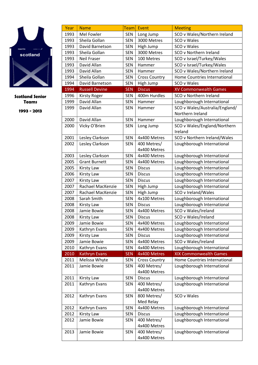

| Year         | <b>Name</b>                            | <b>Team</b>              | Event                      | <b>Meeting</b>                                           |
|--------------|----------------------------------------|--------------------------|----------------------------|----------------------------------------------------------|
| 1993         | Mel Fowler                             | <b>SEN</b>               | Long Jump                  | SCO v Wales/Northern Ireland                             |
| 1993         | Sheila Gollan                          | <b>SEN</b>               | 3000 Metres                | SCO v Wales                                              |
| 1993         | David Barnetson                        | <b>SEN</b>               | High Jump                  | SCO v Wales                                              |
| 1993         | Sheila Gollan                          | <b>SEN</b>               | 3000 Metres                | SCO v Northern Ireland                                   |
| 1993         | <b>Neil Fraser</b>                     | <b>SEN</b>               | 100 Metres                 | SCO v Israel/Turkey/Wales                                |
| 1993         | David Allan                            | <b>SEN</b>               | Hammer                     | SCO v Israel/Turkey/Wales                                |
| 1993         | David Allan                            | <b>SEN</b>               | Hammer                     | SCO v Wales/Northern Ireland                             |
| 1994         | Sheila Gollan                          | <b>SEN</b>               | <b>Cross Country</b>       | Home Countries International                             |
| 1994         | David Barnetson                        | <b>SEN</b>               | High Jump                  | SCO v Wales                                              |
| 1994         | <b>Russell Devine</b>                  | <b>SEN</b>               | <b>Discus</b>              | <b>XV Commonwealth Games</b>                             |
| 1996         | <b>Kirsty Roger</b>                    | <b>SEN</b>               | 400m Hurdles               | SCO v Northern Ireland                                   |
| 1999         | David Allan                            | <b>SEN</b>               | Hammer                     | Loughborough International                               |
| 1999         | David Allan                            | <b>SEN</b>               | Hammer                     | SCO v Wales/Australia/England/                           |
|              |                                        |                          |                            | Northern Ireland                                         |
| 2000         | David Allan                            | SEN                      | Hammer                     | Loughborough International                               |
| 2000         | Vicky O'Brien                          | <b>SEN</b>               | Long Jump                  | SCO v Wales/England/Northern                             |
|              |                                        |                          |                            | Ireland                                                  |
| 2001         | Lesley Clarkson                        | <b>SEN</b>               | 4x400 Metres               | SCO v Northern Ireland/Wales                             |
| 2002         | Lesley Clarkson                        | <b>SEN</b>               | 400 Metres/                | Loughborough International                               |
|              |                                        |                          | 4x400 Metres               |                                                          |
| 2003         | Lesley Clarkson                        | <b>SEN</b>               | 4x400 Metres               | Loughborough International                               |
| 2005         | <b>Grant Burnett</b>                   | <b>SEN</b>               | 4x400 Metres               | Loughborough International                               |
| 2005         | <b>Kirsty Law</b>                      | <b>SEN</b>               | <b>Discus</b>              | Loughborough International                               |
| 2006         | <b>Kirsty Law</b>                      | <b>SEN</b>               | <b>Discus</b>              | Loughborough International                               |
| 2007<br>2007 | <b>Kirsty Law</b><br>Rachael MacKenzie | <b>SEN</b><br><b>SEN</b> | <b>Discus</b><br>High Jump | Loughborough International<br>Loughborough International |
| 2007         | Rachael MacKenzie                      | SEN                      | High Jump                  | SCO v Ireland/Wales                                      |
| 2008         | Sarah Smith                            | <b>SEN</b>               | 4x100 Metres               | Loughborough International                               |
| 2008         | <b>Kirsty Law</b>                      | <b>SEN</b>               | <b>Discus</b>              | Loughborough International                               |
| 2008         | Jamie Bowie                            | <b>SEN</b>               | 4x400 Metres               | SCO v Wales/Ireland                                      |
| 2008         | Kirsty Law                             | <b>SEN</b>               | <b>Discus</b>              | SCO v Wales/Ireland                                      |
| 2009         | Jamie Bowie                            | <b>SEN</b>               | 4x400 Metres               | Loughborough International                               |
| 2009         | Kathryn Evans                          | <b>SEN</b>               | 4x400 Metres               | Loughborough International                               |
| 2009         | <b>Kirsty Law</b>                      | <b>SEN</b>               | <b>Discus</b>              | Loughborough International                               |
| 2009         | Jamie Bowie                            | <b>SEN</b>               | 4x400 Metres               | SCO v Wales/Ireland                                      |
| 2010         | Kathryn Evans                          | <b>SEN</b>               | 4x400 Metres               | Loughborough International                               |
| 2010         | <b>Kathryn Evans</b>                   | <b>SEN</b>               | 4x400 Metres               | <b>XIX Commonwealth Games</b>                            |
| 2011         | Melissa Whyte                          | <b>SEN</b>               | <b>Cross Country</b>       | Home Countries International                             |
| 2011         | Jamie Bowie                            | <b>SEN</b>               | 400 Metres/                | Loughborough International                               |
|              |                                        |                          | 4x400 Metres               |                                                          |
| 2011         | <b>Kirsty Law</b>                      | <b>SEN</b>               | <b>Discus</b>              | Loughborough International                               |
| 2011         | Kathryn Evans                          | SEN                      | 400 Metres/                | Loughborough International                               |
|              |                                        |                          | 4x400 Metres               |                                                          |
| 2012         | Kathryn Evans                          | <b>SEN</b>               | 800 Metres/                | SCO v Wales                                              |
|              |                                        |                          | Med Relay                  |                                                          |
| 2012         | Kathryn Evans                          | <b>SEN</b>               | 4x400 Metres               | Loughborough International                               |
| 2012         | Kirsty Law                             | <b>SEN</b>               | <b>Discus</b>              | Loughborough International                               |
| 2012         | Jamie Bowie                            | SEN                      | 400 Metres/                | Loughborough International                               |
|              |                                        |                          | 4x400 Metres               |                                                          |
| 2013         | Jamie Bowie                            | <b>SEN</b>               | 400 Metres/                | Loughborough International                               |
|              |                                        |                          | 4x400 Metres               |                                                          |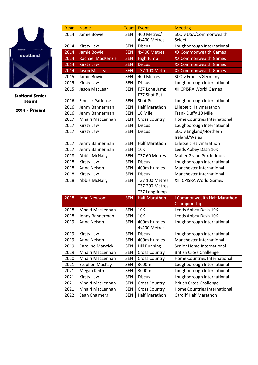

| Year | <b>Name</b>              | <b>Team</b> | Event                         | <b>Meeting</b>                   |  |
|------|--------------------------|-------------|-------------------------------|----------------------------------|--|
| 2014 | Jamie Bowie              | <b>SEN</b>  | 400 Metres/                   | SCO v USA/Commonwealth           |  |
|      |                          |             | 4x400 Metres                  | Select                           |  |
| 2014 | <b>Kirsty Law</b>        | <b>SEN</b>  | <b>Discus</b>                 | Loughborough International       |  |
| 2014 | <b>Jamie Bowie</b>       | <b>SEN</b>  | 4x400 Metres                  | <b>XX Commonwealth Games</b>     |  |
| 2014 | <b>Rachael MacKenzie</b> | <b>SEN</b>  | <b>High Jump</b>              | <b>XX Commonwealth Games</b>     |  |
| 2014 | <b>Kirsty Law</b>        | <b>SEN</b>  | <b>Discus</b>                 | <b>XX Commonwealth Games</b>     |  |
| 2014 | <b>Jason MacLean</b>     | <b>SEN</b>  | <b>T37 100 Metres</b>         | <b>XX Commonwealth Games</b>     |  |
| 2015 | Jamie Bowie              | <b>SEN</b>  | 400 Metres                    | <b>SCO v France/Germany</b>      |  |
| 2015 | <b>Kirsty Law</b>        | <b>SEN</b>  | <b>Discus</b>                 | Loughborough International       |  |
| 2015 | Jason MacLean            | <b>SEN</b>  | F37 Long Jump<br>F37 Shot Put | XII CPISRA World Games           |  |
| 2016 | <b>Sinclair Patience</b> | <b>SEN</b>  | Shot Put                      | Loughborough International       |  |
| 2016 | Jenny Bannerman          | <b>SEN</b>  | <b>Half Marathon</b>          | Lillebælt Halvmarathon           |  |
| 2016 | Jenny Bannerman          | <b>SEN</b>  | 10 Mile                       | Frank Duffy 10 Mile              |  |
| 2017 | Mhairi MacLennan         | <b>SEN</b>  | <b>Cross Country</b>          | Home Countries International     |  |
| 2017 | <b>Kirsty Law</b>        | <b>SEN</b>  | <b>Discus</b>                 | Loughborough International       |  |
| 2017 | <b>Kirsty Law</b>        | <b>SEN</b>  | <b>Discus</b>                 | SCO v England/Northern           |  |
|      |                          |             |                               | Ireland/Wales                    |  |
| 2017 | Jenny Bannerman          | <b>SEN</b>  | <b>Half Marathon</b>          | Lillebælt Halvmarathon           |  |
| 2017 | Jenny Bannerman          | <b>SEN</b>  | 10K                           | Leeds Abbey Dash 10K             |  |
| 2018 | <b>Abbie McNally</b>     | <b>SEN</b>  | T37 60 Metres                 | <b>Muller Grand Prix Indoors</b> |  |
| 2018 | <b>Kirsty Law</b>        | <b>SEN</b>  | <b>Discus</b>                 | Loughborough International       |  |
| 2018 | Anna Nelson              | <b>SEN</b>  | 400m Hurdles                  | Manchester International         |  |
| 2018 | <b>Kirsty Law</b>        | <b>SEN</b>  | <b>Discus</b>                 | Manchester International         |  |
| 2018 | Abbie McNally            | <b>SEN</b>  | T37 100 Metres                | XIII CPISRA World Games          |  |
|      |                          |             | T37 200 Metres                |                                  |  |
|      |                          |             | T37 Long Jump                 |                                  |  |
| 2018 | <b>John Newsom</b>       | <b>SEN</b>  | <b>Half Marathon</b>          | I Commonwealth Half Marathon     |  |
|      |                          |             |                               | Championships                    |  |
| 2018 | Mhairi MacLennan         | <b>SEN</b>  | <b>10K</b>                    | Leeds Abbey Dash 10K             |  |
| 2018 | Jenny Bannerman          | <b>SEN</b>  | 10K                           | Leeds Abbey Dash 10K             |  |
| 2019 | Anna Nelson              | <b>SEN</b>  | 400m Hurdles<br>4x400 Metres  | Loughborough International       |  |
| 2019 | <b>Kirsty Law</b>        | <b>SEN</b>  | <b>Discus</b>                 | Loughborough International       |  |
| 2019 | Anna Nelson              | <b>SEN</b>  | 400m Hurdles                  | Manchester International         |  |
| 2019 | <b>Caroline Marwick</b>  | <b>SEN</b>  | <b>Hill Running</b>           | Senior Home International        |  |
| 2019 | Mhairi MacLennan         | <b>SEN</b>  | <b>Cross Country</b>          | <b>British Cross Challenge</b>   |  |
| 2020 | Mhairi MacLennan         | <b>SEN</b>  | <b>Cross Country</b>          | Home Countries International     |  |
| 2021 | Stephen MacKay           | <b>SEN</b>  | 3000m                         | Loughborough International       |  |
| 2021 | Megan Keith              | <b>SEN</b>  | 3000m                         | Loughborough International       |  |
| 2021 | <b>Kirsty Law</b>        | <b>SEN</b>  | <b>Discus</b>                 | Loughborough International       |  |
| 2021 | Mhairi MacLennan         | <b>SEN</b>  | <b>Cross Country</b>          | <b>British Cross Challenge</b>   |  |
| 2021 | Mhairi MacLennan         | <b>SEN</b>  | <b>Cross Country</b>          | Home Countries International     |  |
| 2022 | Sean Chalmers            | <b>SEN</b>  | <b>Half Marathon</b>          | Cardiff Half Marathon            |  |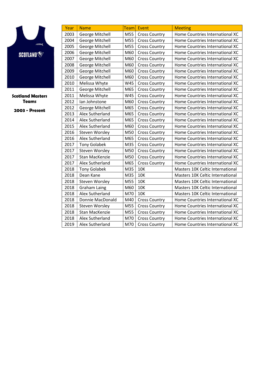

Scotland Masters Teams

| Year | <b>Name</b>         | Team | Event                | <b>Meeting</b>                          |
|------|---------------------|------|----------------------|-----------------------------------------|
| 2003 | George Mitchell     | M55  | <b>Cross Country</b> | Home Countries International XC         |
| 2004 | George Mitchell     | M55  | <b>Cross Country</b> | Home Countries International XC         |
| 2005 | George Mitchell     | M55  | <b>Cross Country</b> | Home Countries International XC         |
| 2006 | George Mitchell     | M60  | <b>Cross Country</b> | Home Countries International XC         |
| 2007 | George Mitchell     | M60  | <b>Cross Country</b> | Home Countries International XC         |
| 2008 | George Mitchell     | M60  | <b>Cross Country</b> | Home Countries International XC         |
| 2009 | George Mitchell     | M60  | <b>Cross Country</b> | Home Countries International XC         |
| 2010 | George Mitchell     | M60  | <b>Cross Country</b> | Home Countries International XC         |
| 2010 | Melissa Whyte       | W45  | <b>Cross Country</b> | Home Countries International XC         |
| 2011 | George Mitchell     | M65  | <b>Cross Country</b> | Home Countries International XC         |
| 2011 | Melissa Whyte       | W45  | <b>Cross Country</b> | Home Countries International XC         |
| 2012 | lan Johnstone       | M60  | <b>Cross Country</b> | Home Countries International XC         |
| 2012 | George Mitchell     | M65  | <b>Cross Country</b> | Home Countries International XC         |
| 2013 | Alex Sutherland     | M65  | <b>Cross Country</b> | Home Countries International XC         |
| 2014 | Alex Sutherland     | M65  | <b>Cross Country</b> | Home Countries International XC         |
| 2015 | Alex Sutherland     | M60  | <b>Cross Country</b> | Home Countries International XC         |
| 2016 | Steven Worsley      | M50  | <b>Cross Country</b> | Home Countries International XC         |
| 2016 | Alex Sutherland     | M65  | <b>Cross Country</b> | Home Countries International XC         |
| 2017 | <b>Tony Golabek</b> | M35  | <b>Cross Country</b> | Home Countries International XC         |
| 2017 | Steven Worsley      | M50  | <b>Cross Country</b> | Home Countries International XC         |
| 2017 | Stan MacKenzie      | M50  | <b>Cross Country</b> | Home Countries International XC         |
| 2017 | Alex Sutherland     | M65  | <b>Cross Country</b> | Home Countries International XC         |
| 2018 | <b>Tony Golabek</b> | M35  | <b>10K</b>           | <b>Masters 10K Celtic International</b> |
| 2018 | Dean Kane           | M35  | 10K                  | <b>Masters 10K Celtic International</b> |
| 2018 | Steven Worsley      | M55  | <b>10K</b>           | Masters 10K Celtic International        |
| 2018 | <b>Graham Laing</b> | M60  | <b>10K</b>           | Masters 10K Celtic International        |
| 2018 | Alex Sutherland     | M70  | <b>10K</b>           | Masters 10K Celtic International        |
| 2018 | Donnie MacDonald    | M40  | <b>Cross Country</b> | Home Countries International XC         |
| 2018 | Steven Worsley      | M55  | <b>Cross Country</b> | Home Countries International XC         |
| 2018 | Stan MacKenzie      | M55  | <b>Cross Country</b> | Home Countries International XC         |
| 2018 | Alex Sutherland     | M70  | <b>Cross Country</b> | Home Countries International XC         |
| 2019 | Alex Sutherland     | M70  | <b>Cross Country</b> | Home Countries International XC         |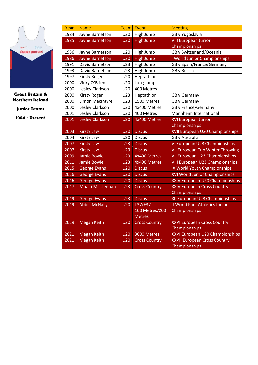

Great Britain & Northern Ireland

Junior Teams

| Year | <b>Name</b>             | <b>Team</b>     | Event                | <b>Meeting</b>                                       |
|------|-------------------------|-----------------|----------------------|------------------------------------------------------|
| 1984 | Jayne Barnetson         | U20             | High Jump            | GB v Yugoslavia                                      |
| 1985 | Jayne Barnetson         | U <sub>20</sub> | <b>High Jump</b>     | <b>VIII European Junior</b>                          |
|      |                         |                 |                      | Championships                                        |
| 1986 | Jayne Barnetson         | U20             | High Jump            | GB v Switzerland/Oceania                             |
| 1986 | Jayne Barnetson         | <b>U20</b>      | <b>High Jump</b>     | I World Junior Championships                         |
| 1991 | David Barnetson         | U23             | High Jump            | GB v Spain/France/Germany                            |
| 1993 | David Barnetson         | U23             | High Jump            | <b>GB v Russia</b>                                   |
| 1997 | <b>Kirsty Roger</b>     | U20             | Heptathlon           |                                                      |
| 2000 | Vicky O'Brien           | U20             | Long Jump            | $\overline{\phantom{0}}$                             |
| 2000 | Lesley Clarkson         | U20             | 400 Metres           |                                                      |
| 2000 | <b>Kirsty Roger</b>     | U23             | Heptathlon           | <b>GB v Germany</b>                                  |
| 2000 | Simon MacIntyre         | U23             | 1500 Metres          | <b>GB v Germany</b>                                  |
| 2000 | Lesley Clarkson         | U20             | 4x400 Metres         | <b>GB v France/Germany</b>                           |
| 2001 | Lesley Clarkson         | U20             | 400 Metres           | Mannheim International                               |
| 2001 | <b>Lesley Clarkson</b>  | <b>U20</b>      | 4x400 Metres         | <b>XVI European Junior</b>                           |
|      |                         |                 |                      | Championships                                        |
| 2003 | <b>Kirsty Law</b>       | <b>U20</b>      | <b>Discus</b>        | XVII European U20 Championships                      |
| 2004 | <b>Kirsty Law</b>       | U20             | <b>Discus</b>        | <b>GB v Australia</b>                                |
|      |                         |                 |                      |                                                      |
| 2007 | <b>Kirsty Law</b>       | <b>U23</b>      | <b>Discus</b>        | VI European U23 Championships                        |
| 2007 | <b>Kirsty Law</b>       | <b>U23</b>      | <b>Discus</b>        | <b>VII European Cup Winter Throwing</b>              |
| 2009 | <b>Jamie Bowie</b>      | <b>U23</b>      | 4x400 Metres         | <b>VII European U23 Championships</b>                |
| 2011 | <b>Jamie Bowie</b>      | <b>U23</b>      | 4x400 Metres         | <b>VIII European U23 Championships</b>               |
| 2015 | <b>George Evans</b>     | <b>U20</b>      | <b>Discus</b>        | IX World Youth Championships                         |
| 2016 | <b>George Evans</b>     | <b>U20</b>      | <b>Discus</b>        | XVI World Junior Championships                       |
| 2016 | <b>George Evans</b>     | <b>U20</b>      | <b>Discus</b>        | XXIV European U20 Championships                      |
| 2017 | <b>Mhairi MacLennan</b> | <b>U23</b>      | <b>Cross Country</b> | <b>XXIV European Cross Country</b>                   |
|      |                         |                 |                      | Championships                                        |
| 2019 | <b>George Evans</b>     | <b>U23</b>      | <b>Discus</b>        | XII European U23 Championships                       |
| 2019 | <b>Abbie McNally</b>    | <b>U20</b>      | T37/F37              | <b>II World Para Athletics Junior</b>                |
|      |                         |                 | 100 Metres/200       | Championships                                        |
|      |                         |                 | <b>Metres</b>        |                                                      |
| 2019 | <b>Megan Keith</b>      | U <sub>20</sub> | <b>Cross Country</b> | <b>XXVI European Cross Country</b>                   |
|      |                         |                 |                      | Championships                                        |
| 2021 | <b>Megan Keith</b>      | <b>U20</b>      | 3000 Metres          | XXVI European U20 Championships                      |
| 2021 | <b>Megan Keith</b>      | <b>U20</b>      | <b>Cross Country</b> | <b>XXVII European Cross Country</b><br>Championships |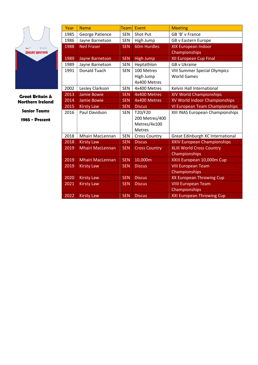|                            | Year | <b>Name</b>             | <b>Team</b> | Event                | <b>Meeting</b>                      |
|----------------------------|------|-------------------------|-------------|----------------------|-------------------------------------|
|                            | 1985 | George Patience         | <b>SEN</b>  | Shot Put             | GB 'B' v France                     |
|                            | 1986 | Jayne Barnetson         | <b>SEN</b>  | High Jump            | GB v Eastern Europe                 |
| <b>By online</b>           | 1988 | <b>Neil Fraser</b>      | <b>SEN</b>  | <b>60m Hurdles</b>   | XIX European Indoor                 |
| <b>GREAT BRITAIN</b>       |      |                         |             |                      | Championships                       |
|                            | 1989 | Jayne Barnetson         | <b>SEN</b>  | High Jump            | <b>XII European Cup Final</b>       |
|                            | 1989 | Jayne Barnetson         | <b>SEN</b>  | Heptathlon           | <b>GB v Ukraine</b>                 |
|                            | 1991 | <b>Donald Tuach</b>     | <b>SEN</b>  | 100 Metres           | <b>VIII Summer Special Olympics</b> |
|                            |      |                         |             | High Jump            | <b>World Games</b>                  |
|                            |      |                         |             | 4x400 Metres         |                                     |
|                            | 2002 | Lesley Clarkson         | <b>SEN</b>  | 4x400 Metres         | Kelvin Hall International           |
| <b>Great Britain &amp;</b> | 2013 | <b>Jamie Bowie</b>      | <b>SEN</b>  | 4x400 Metres         | XIV World Championships             |
| <b>Northern Ireland</b>    | 2014 | Jamie Bowie             | <b>SEN</b>  | 4x400 Metres         | XV World Indoor Championships       |
|                            | 2015 | <b>Kirsty Law</b>       | <b>SEN</b>  | <b>Discus</b>        | VI European Team Championships      |
| <b>Senior Teams</b>        | 2016 | Paul Davidson           | <b>SEN</b>  | T20/F20              | XIII INAS European Championships    |
| 1985 - Present             |      |                         |             | 200 Metres/400       |                                     |
|                            |      |                         |             | Metres/4x100         |                                     |
|                            |      |                         |             | Metres               |                                     |
|                            | 2018 | Mhairi MacLennan        | <b>SEN</b>  | <b>Cross Country</b> | Great Edinburgh XC International    |
|                            | 2018 | <b>Kirsty Law</b>       | <b>SEN</b>  | <b>Discus</b>        | <b>XXIV European Championships</b>  |
|                            | 2019 | <b>Mhairi MacLennan</b> | <b>SEN</b>  | <b>Cross Country</b> | <b>XLIII World Cross Country</b>    |
|                            |      |                         |             |                      | Championships                       |
|                            | 2019 | <b>Mhairi MacLennan</b> | <b>SEN</b>  | 10,000m              | XXIII European 10,000m Cup          |
|                            | 2019 | <b>Kirsty Law</b>       | <b>SEN</b>  | <b>Discus</b>        | <b>VIII European Team</b>           |
|                            |      |                         |             |                      | Championships                       |
|                            | 2020 | <b>Kirsty Law</b>       | <b>SEN</b>  | <b>Discus</b>        | XX European Throwing Cup            |
|                            | 2021 | <b>Kirsty Law</b>       | <b>SEN</b>  | <b>Discus</b>        | <b>VIIII European Team</b>          |
|                            |      |                         |             |                      | Championships                       |
|                            | 2022 | <b>Kirsty Law</b>       | <b>SEN</b>  | <b>Discus</b>        | <b>XXI European Throwing Cup</b>    |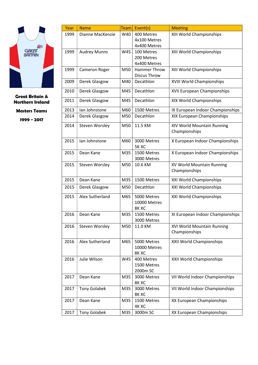

Great Britain & Northern Ireland

Masters Teams

| Year | <b>Name</b>         | <b>Team</b> | Event(s)            | <b>Meeting</b>                   |
|------|---------------------|-------------|---------------------|----------------------------------|
| 1999 | Dianne MacKenzie    | W40         | 400 Metres          | XIII World Championships         |
|      |                     |             | 4x100 Metres        |                                  |
|      |                     |             | 4x400 Metres        |                                  |
| 1999 | Audrey Munro        | W45         | 100 Metres          | XIII World Championships         |
|      |                     |             | 200 Metres          |                                  |
|      |                     |             | 4x400 Metres        |                                  |
| 1999 | Cameron Roger       | M50         | Hammer Throw        | XIII World Championships         |
|      |                     |             | <b>Discus Throw</b> |                                  |
| 2009 | Derek Glasgow       | M40         | Decathlon           | XVIII World Championships        |
|      |                     |             |                     |                                  |
| 2010 | Derek Glasgow       | M45         | Decathlon           | XVII European Championships      |
| 2011 | Derek Glasgow       | M45         | Decathlon           | XIX World Championships          |
|      |                     |             |                     |                                  |
| 2013 | lan Johnstone       | M60         | 1500 Metres         | IX European Indoor Championships |
| 2014 | Derek Glasgow       | M50         | Decathlon           | XIX European Championships       |
| 2014 |                     |             | 11.5 KM             |                                  |
|      | Steven Worsley      | M50         |                     | XIV World Mountain Running       |
|      |                     |             |                     | Championships                    |
| 2015 | lan Johnstone       | M60         | 3000 Metres         | X European Indoor Championships  |
|      |                     |             | 5K XC               |                                  |
| 2015 | Dean Kane           | M35         | 1500 Metres         | X European Indoor Championships  |
|      |                     |             | 3000 Metres         |                                  |
| 2015 | Steven Worsley      | M50         | 10.6 KM             | XV World Mountain Running        |
|      |                     |             |                     | Championships                    |
|      |                     |             |                     |                                  |
| 2015 | Dean Kane           | M35         | 1500 Metres         | XXI World Championships          |
| 2015 | Derek Glasgow       | M50         | Decathlon           | XXI World Championships          |
| 2015 | Alex Sutherland     | M65         | 5000 Metres         | XXI World Championships          |
|      |                     |             | 10000 Metres        |                                  |
|      |                     |             | 8K XC               |                                  |
| 2016 | Dean Kane           | M35         | 1500 Metres         | XI European Indoor Championships |
|      |                     |             | 3000 Metres         |                                  |
| 2016 | Steven Worsley      | M50         | 11.0 KM             | XVI World Mountain Running       |
|      |                     |             |                     | Championships                    |
|      |                     |             |                     |                                  |
| 2016 | Alex Sutherland     | M65         | 5000 Metres         | XXII World Championships         |
|      |                     |             | 10000 Metres        |                                  |
|      |                     |             | 8K XC               |                                  |
| 2016 | Julie Wilson        | W45         | 400 Metres          | XXII World Championships         |
|      |                     |             | 1500 Metres         |                                  |
|      |                     |             | 2000m SC            |                                  |
| 2017 | Dean Kane           | M35         | 3000 Metres         | VII World Indoor Championships   |
|      |                     |             | 8K XC               |                                  |
| 2017 | <b>Tony Golabek</b> | M35         | 3000 Metres         | VII World Indoor Championships   |
|      |                     |             | 8K XC               |                                  |
| 2017 | Dean Kane           | M35         | 1500 Metres         | XX European Championships        |
|      |                     |             | 4K XC               |                                  |
| 2017 | <b>Tony Golabek</b> | M35         | 3000m SC            | XX European Championships        |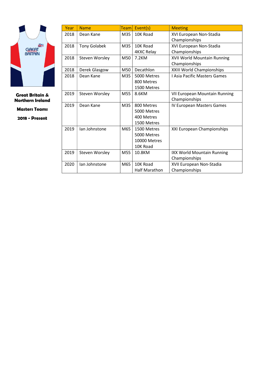

Great Britain & Northern Ireland

Masters Teams

| Year | <b>Name</b>           | <b>Team</b> | Event(s)          | <b>Meeting</b>                    |
|------|-----------------------|-------------|-------------------|-----------------------------------|
| 2018 | Dean Kane             | M35         | 10K Road          | XVI European Non-Stadia           |
|      |                       |             |                   | Championships                     |
| 2018 | <b>Tony Golabek</b>   | M35         | 10K Road          | XVI European Non-Stadia           |
|      |                       |             | <b>4KXC Relay</b> | Championships                     |
| 2018 | <b>Steven Worsley</b> | M50         | 7.2KM             | XVII World Mountain Running       |
|      |                       |             |                   | Championships                     |
| 2018 | Derek Glasgow         | M50         | Decathlon         | XXIII World Championships         |
| 2018 | Dean Kane             | M35         | 5000 Metres       | I Asia Pacific Masters Games      |
|      |                       |             | 800 Metres        |                                   |
|      |                       |             | 1500 Metres       |                                   |
| 2019 | Steven Worsley        | M55         | 8.6KM             | VII European Mountain Running     |
|      |                       |             |                   | Championships                     |
| 2019 | Dean Kane             | M35         | 800 Metres        | IV European Masters Games         |
|      |                       |             | 5000 Metres       |                                   |
|      |                       |             | 400 Metres        |                                   |
|      |                       |             | 1500 Metres       |                                   |
| 2019 | lan Johnstone         | M65         | 1500 Metres       | XXI European Championships        |
|      |                       |             | 5000 Metres       |                                   |
|      |                       |             | 10000 Metres      |                                   |
|      |                       |             | 10K Road          |                                   |
| 2019 | Steven Worsley        | M55         | 10.8KM            | <b>IXX World Mountain Running</b> |
|      |                       |             |                   | Championships                     |
| 2020 | lan Johnstone         | M65         | 10K Road          | XVII European Non-Stadia          |
|      |                       |             | Half Marathon     | Championships                     |